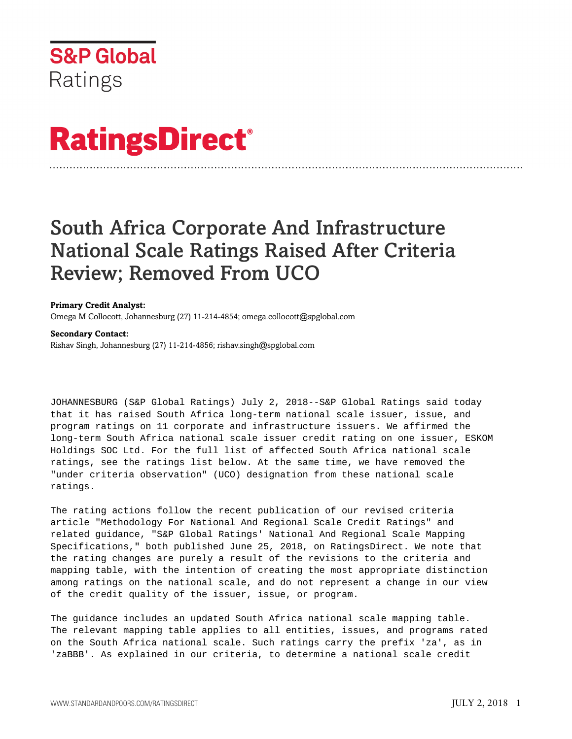

# **RatingsDirect®**

# South Africa Corporate And Infrastructure National Scale Ratings Raised After Criteria Review; Removed From UCO

# **Primary Credit Analyst:**

Omega M Collocott, Johannesburg (27) 11-214-4854; omega.collocott@spglobal.com

# **Secondary Contact:**

Rishav Singh, Johannesburg (27) 11-214-4856; rishav.singh@spglobal.com

JOHANNESBURG (S&P Global Ratings) July 2, 2018--S&P Global Ratings said today that it has raised South Africa long-term national scale issuer, issue, and program ratings on 11 corporate and infrastructure issuers. We affirmed the long-term South Africa national scale issuer credit rating on one issuer, ESKOM Holdings SOC Ltd. For the full list of affected South Africa national scale ratings, see the ratings list below. At the same time, we have removed the "under criteria observation" (UCO) designation from these national scale ratings.

The rating actions follow the recent publication of our revised criteria article "Methodology For National And Regional Scale Credit Ratings" and related guidance, "S&P Global Ratings' National And Regional Scale Mapping Specifications," both published June 25, 2018, on RatingsDirect. We note that the rating changes are purely a result of the revisions to the criteria and mapping table, with the intention of creating the most appropriate distinction among ratings on the national scale, and do not represent a change in our view of the credit quality of the issuer, issue, or program.

The guidance includes an updated South Africa national scale mapping table. The relevant mapping table applies to all entities, issues, and programs rated on the South Africa national scale. Such ratings carry the prefix 'za', as in 'zaBBB'. As explained in our criteria, to determine a national scale credit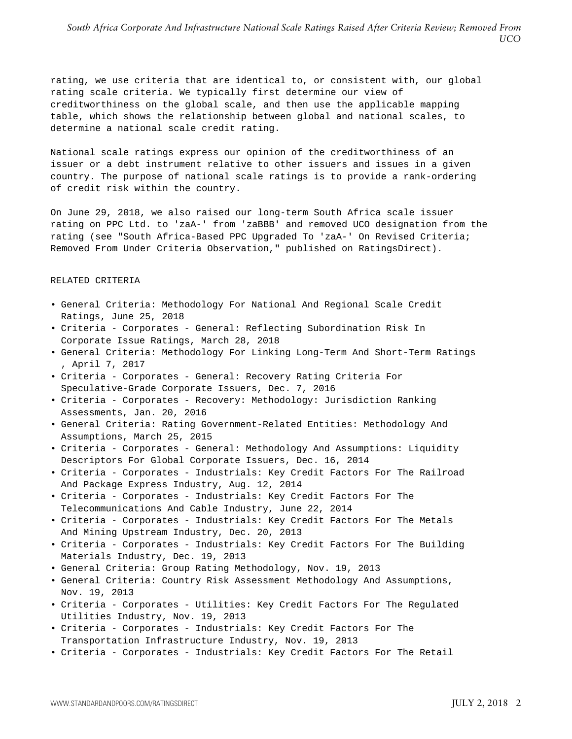rating, we use criteria that are identical to, or consistent with, our global rating scale criteria. We typically first determine our view of creditworthiness on the global scale, and then use the applicable mapping table, which shows the relationship between global and national scales, to determine a national scale credit rating.

National scale ratings express our opinion of the creditworthiness of an issuer or a debt instrument relative to other issuers and issues in a given country. The purpose of national scale ratings is to provide a rank-ordering of credit risk within the country.

On June 29, 2018, we also raised our long-term South Africa scale issuer rating on PPC Ltd. to 'zaA-' from 'zaBBB' and removed UCO designation from the rating (see "South Africa-Based PPC Upgraded To 'zaA-' On Revised Criteria; Removed From Under Criteria Observation," published on RatingsDirect).

#### RELATED CRITERIA

- General Criteria: Methodology For National And Regional Scale Credit Ratings, June 25, 2018
- Criteria Corporates General: Reflecting Subordination Risk In Corporate Issue Ratings, March 28, 2018
- General Criteria: Methodology For Linking Long-Term And Short-Term Ratings , April 7, 2017
- Criteria Corporates General: Recovery Rating Criteria For Speculative-Grade Corporate Issuers, Dec. 7, 2016
- Criteria Corporates Recovery: Methodology: Jurisdiction Ranking Assessments, Jan. 20, 2016
- General Criteria: Rating Government-Related Entities: Methodology And Assumptions, March 25, 2015
- Criteria Corporates General: Methodology And Assumptions: Liquidity Descriptors For Global Corporate Issuers, Dec. 16, 2014
- Criteria Corporates Industrials: Key Credit Factors For The Railroad And Package Express Industry, Aug. 12, 2014
- Criteria Corporates Industrials: Key Credit Factors For The Telecommunications And Cable Industry, June 22, 2014
- Criteria Corporates Industrials: Key Credit Factors For The Metals And Mining Upstream Industry, Dec. 20, 2013
- Criteria Corporates Industrials: Key Credit Factors For The Building Materials Industry, Dec. 19, 2013
- General Criteria: Group Rating Methodology, Nov. 19, 2013
- General Criteria: Country Risk Assessment Methodology And Assumptions, Nov. 19, 2013
- Criteria Corporates Utilities: Key Credit Factors For The Regulated Utilities Industry, Nov. 19, 2013
- Criteria Corporates Industrials: Key Credit Factors For The Transportation Infrastructure Industry, Nov. 19, 2013
- Criteria Corporates Industrials: Key Credit Factors For The Retail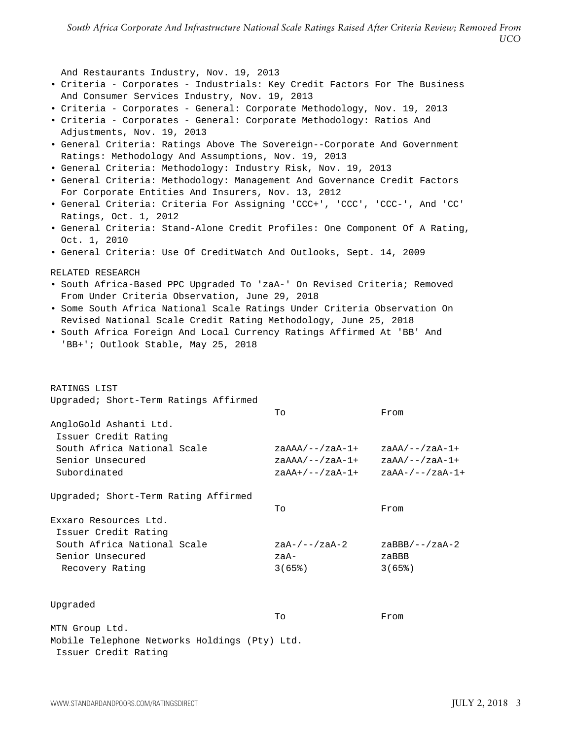*South Africa Corporate And Infrastructure National Scale Ratings Raised After Criteria Review; Removed From UCO*

And Restaurants Industry, Nov. 19, 2013 • Criteria - Corporates - Industrials: Key Credit Factors For The Business And Consumer Services Industry, Nov. 19, 2013 • Criteria - Corporates - General: Corporate Methodology, Nov. 19, 2013 • Criteria - Corporates - General: Corporate Methodology: Ratios And Adjustments, Nov. 19, 2013 • General Criteria: Ratings Above The Sovereign--Corporate And Government Ratings: Methodology And Assumptions, Nov. 19, 2013 • General Criteria: Methodology: Industry Risk, Nov. 19, 2013 • General Criteria: Methodology: Management And Governance Credit Factors For Corporate Entities And Insurers, Nov. 13, 2012 • General Criteria: Criteria For Assigning 'CCC+', 'CCC', 'CCC-', And 'CC' Ratings, Oct. 1, 2012 • General Criteria: Stand-Alone Credit Profiles: One Component Of A Rating, Oct. 1, 2010 • General Criteria: Use Of CreditWatch And Outlooks, Sept. 14, 2009 RELATED RESEARCH • South Africa-Based PPC Upgraded To 'zaA-' On Revised Criteria; Removed From Under Criteria Observation, June 29, 2018 • Some South Africa National Scale Ratings Under Criteria Observation On Revised National Scale Credit Rating Methodology, June 25, 2018 • South Africa Foreign And Local Currency Ratings Affirmed At 'BB' And 'BB+'; Outlook Stable, May 25, 2018 RATINGS LIST Upgraded; Short-Term Ratings Affirmed To From AngloGold Ashanti Ltd. Issuer Credit Rating South Africa National Scale zaAAA/--/zaA-1+ zaAA/--/zaA-1+ Senior Unsecured  $z_{\text{AAA}/--/z_{\text{A}}-1+}$   $z_{\text{AAA}/--/z_{\text{A}}-1+}$ Subordinated  $z$ aAA+/--/zaA-1+ zaAA-/--/zaA-1+ Upgraded; Short-Term Rating Affirmed To From Exxaro Resources Ltd. Issuer Credit Rating South Africa National Scale  $z$ aA-/--/zaA-2 zaBBB/--/zaA-2 Senior Unsecured zaA- zaBBB Recovery Rating 3(65%) 3(65%) Upgraded To From MTN Group Ltd. Mobile Telephone Networks Holdings (Pty) Ltd. Issuer Credit Rating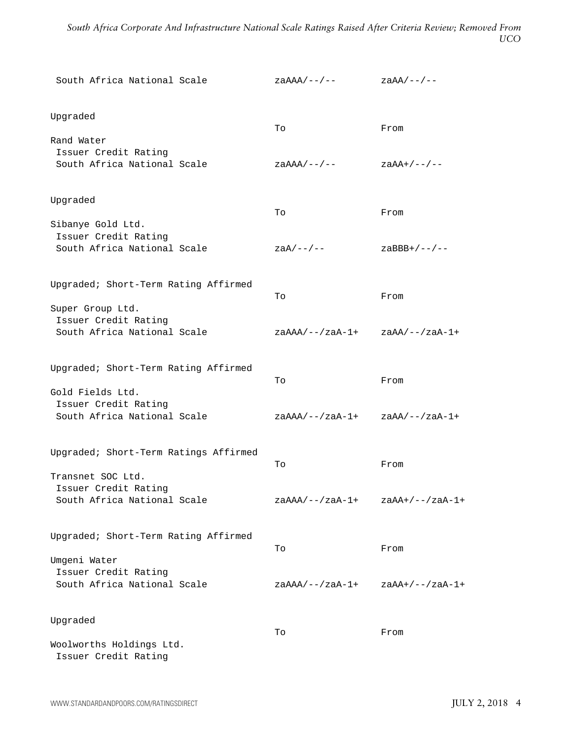*South Africa Corporate And Infrastructure National Scale Ratings Raised After Criteria Review; Removed From UCO*

| South Africa National Scale                         | $zaAAA/---$ /--                      | $zaAA/---$ /--    |
|-----------------------------------------------------|--------------------------------------|-------------------|
| Upgraded                                            |                                      |                   |
|                                                     | To                                   | From              |
| Rand Water<br>Issuer Credit Rating                  |                                      |                   |
| South Africa National Scale                         | $zaAAA/---$                          | $zaAA+/--/--$     |
| Upgraded                                            |                                      |                   |
|                                                     | To                                   | From              |
| Sibanye Gold Ltd.<br>Issuer Credit Rating           |                                      |                   |
| South Africa National Scale                         | $zaA/---$ /--                        | $z$ aBBB+/--/--   |
| Upgraded; Short-Term Rating Affirmed                |                                      |                   |
|                                                     | To                                   | From              |
| Super Group Ltd.                                    |                                      |                   |
| Issuer Credit Rating<br>South Africa National Scale | $zaAAA/---/zaA-1+$ $zaAA/---/zaA-1+$ |                   |
| Upgraded; Short-Term Rating Affirmed                |                                      |                   |
|                                                     | To                                   | From              |
| Gold Fields Ltd.<br>Issuer Credit Rating            |                                      |                   |
| South Africa National Scale                         | zaAAA/--/zaA-1+                      | $zaAA/--/zaA-1+$  |
| Upgraded; Short-Term Ratings Affirmed               |                                      |                   |
|                                                     | To                                   | From              |
| Transnet SOC Ltd.                                   |                                      |                   |
| Issuer Credit Rating<br>South Africa National Scale | zaAAA/--/zaA-1+                      | $zaAA+/--/zaA-1+$ |
| Upgraded; Short-Term Rating Affirmed                | To                                   | From              |
| Umgeni Water                                        |                                      |                   |
| Issuer Credit Rating                                |                                      |                   |
| South Africa National Scale                         | $zaAAA/--/zaA-1+$                    | $zaAA+/--/zaA-1+$ |
| Upgraded                                            |                                      |                   |
|                                                     | To                                   | From              |
| Woolworths Holdings Ltd.<br>Issuer Credit Rating    |                                      |                   |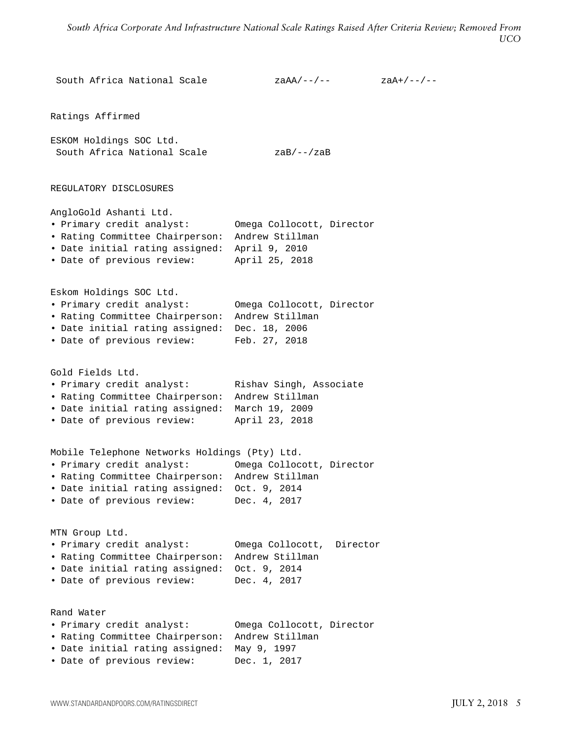```
South Africa National Scale z zaAA/--/-- z zaA+/--/--
Ratings Affirmed
ESKOM Holdings SOC Ltd.
South Africa National Scale zaB/--/zaB
REGULATORY DISCLOSURES
AngloGold Ashanti Ltd.
• Primary credit analyst: Omega Collocott, Director
• Rating Committee Chairperson: Andrew Stillman
• Date initial rating assigned: April 9, 2010
• Date of previous review: April 25, 2018
Eskom Holdings SOC Ltd.
• Primary credit analyst: Omega Collocott, Director
• Rating Committee Chairperson: Andrew Stillman
• Date initial rating assigned: Dec. 18, 2006
• Date of previous review: Feb. 27, 2018
Gold Fields Ltd.
• Primary credit analyst: Rishav Singh, Associate
• Rating Committee Chairperson: Andrew Stillman
• Date initial rating assigned: March 19, 2009
• Date of previous review: April 23, 2018
Mobile Telephone Networks Holdings (Pty) Ltd.
• Primary credit analyst: Omega Collocott, Director
• Rating Committee Chairperson: Andrew Stillman
• Date initial rating assigned: Oct. 9, 2014
• Date of previous review: Dec. 4, 2017
MTN Group Ltd.
• Primary credit analyst: Omega Collocott, Director
• Rating Committee Chairperson: Andrew Stillman
• Date initial rating assigned: Oct. 9, 2014
• Date of previous review: Dec. 4, 2017
Rand Water
• Primary credit analyst: Omega Collocott, Director
• Rating Committee Chairperson: Andrew Stillman
• Date initial rating assigned: May 9, 1997
• Date of previous review: Dec. 1, 2017
```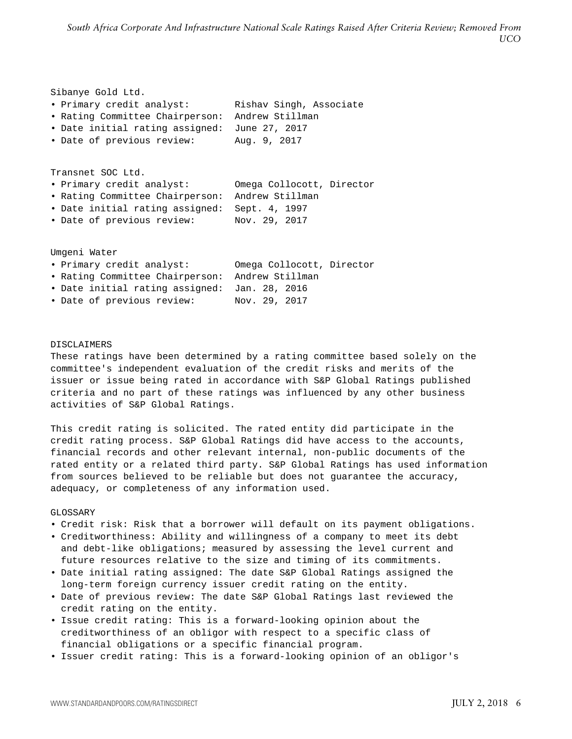| Sibanye Gold Ltd.               |                           |  |
|---------------------------------|---------------------------|--|
| • Primary credit analyst:       | Rishav Singh, Associate   |  |
| • Rating Committee Chairperson: | Andrew Stillman           |  |
| . Date initial rating assigned: | June 27, 2017             |  |
| · Date of previous review:      | Aug. 9, 2017              |  |
| Transnet SOC Ltd.               |                           |  |
| • Primary credit analyst:       | Omega Collocott, Director |  |
| • Rating Committee Chairperson: | Andrew Stillman           |  |
| • Date initial rating assigned: | Sept. 4, 1997             |  |
| • Date of previous review:      | Nov. 29, 2017             |  |
|                                 |                           |  |
| Umgeni Water                    |                           |  |
| • Primary credit analyst:       | Omega Collocott, Director |  |
| • Rating Committee Chairperson: | Andrew Stillman           |  |

- Date initial rating assigned: Jan. 28, 2016
- Date of previous review: Nov. 29, 2017

## DISCLAIMERS

These ratings have been determined by a rating committee based solely on the committee's independent evaluation of the credit risks and merits of the issuer or issue being rated in accordance with S&P Global Ratings published criteria and no part of these ratings was influenced by any other business activities of S&P Global Ratings.

This credit rating is solicited. The rated entity did participate in the credit rating process. S&P Global Ratings did have access to the accounts, financial records and other relevant internal, non-public documents of the rated entity or a related third party. S&P Global Ratings has used information from sources believed to be reliable but does not guarantee the accuracy, adequacy, or completeness of any information used.

### GLOSSARY

- Credit risk: Risk that a borrower will default on its payment obligations.
- Creditworthiness: Ability and willingness of a company to meet its debt and debt-like obligations; measured by assessing the level current and future resources relative to the size and timing of its commitments.
- Date initial rating assigned: The date S&P Global Ratings assigned the long-term foreign currency issuer credit rating on the entity.
- Date of previous review: The date S&P Global Ratings last reviewed the credit rating on the entity.
- Issue credit rating: This is a forward-looking opinion about the creditworthiness of an obligor with respect to a specific class of financial obligations or a specific financial program.
- Issuer credit rating: This is a forward-looking opinion of an obligor's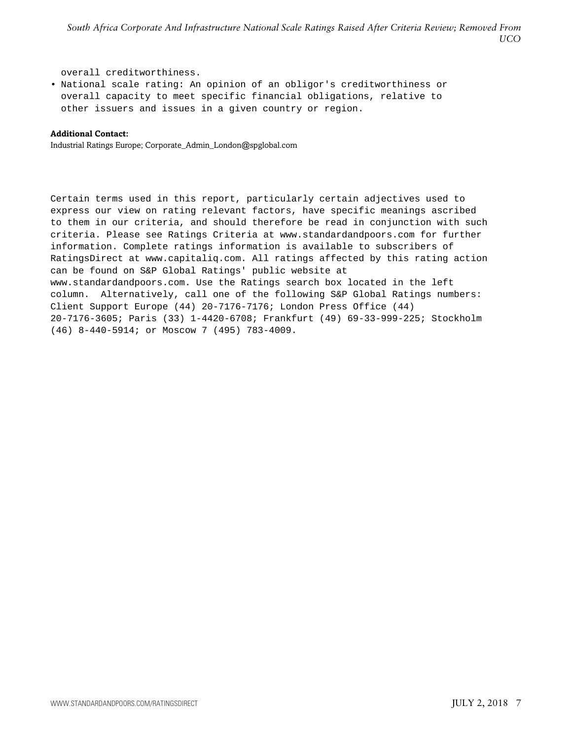overall creditworthiness.

• National scale rating: An opinion of an obligor's creditworthiness or overall capacity to meet specific financial obligations, relative to other issuers and issues in a given country or region.

#### **Additional Contact:**

Industrial Ratings Europe; Corporate\_Admin\_London@spglobal.com

Certain terms used in this report, particularly certain adjectives used to express our view on rating relevant factors, have specific meanings ascribed to them in our criteria, and should therefore be read in conjunction with such criteria. Please see Ratings Criteria at www.standardandpoors.com for further information. Complete ratings information is available to subscribers of RatingsDirect at www.capitaliq.com. All ratings affected by this rating action can be found on S&P Global Ratings' public website at www.standardandpoors.com. Use the Ratings search box located in the left column. Alternatively, call one of the following S&P Global Ratings numbers: Client Support Europe (44) 20-7176-7176; London Press Office (44) 20-7176-3605; Paris (33) 1-4420-6708; Frankfurt (49) 69-33-999-225; Stockholm (46) 8-440-5914; or Moscow 7 (495) 783-4009.